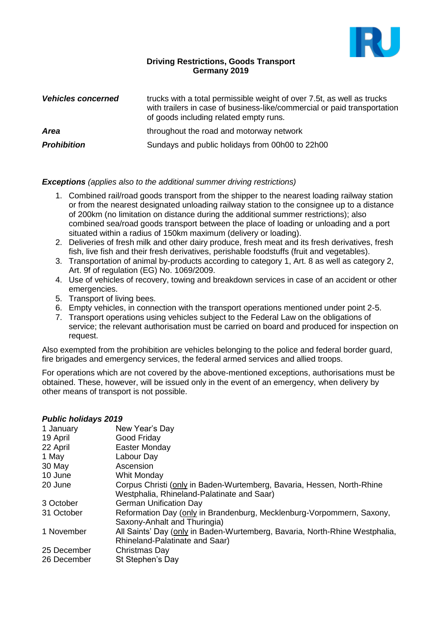

## **Driving Restrictions, Goods Transport Germany 2019**

| <b>Vehicles concerned</b> | trucks with a total permissible weight of over 7.5t, as well as trucks<br>with trailers in case of business-like/commercial or paid transportation<br>of goods including related empty runs. |
|---------------------------|----------------------------------------------------------------------------------------------------------------------------------------------------------------------------------------------|
| <b>Area</b>               | throughout the road and motorway network                                                                                                                                                     |
| <b>Prohibition</b>        | Sundays and public holidays from 00h00 to 22h00                                                                                                                                              |

## *Exceptions (applies also to the additional summer driving restrictions)*

- 1. Combined rail/road goods transport from the shipper to the nearest loading railway station or from the nearest designated unloading railway station to the consignee up to a distance of 200km (no limitation on distance during the additional summer restrictions); also combined sea/road goods transport between the place of loading or unloading and a port situated within a radius of 150km maximum (delivery or loading).
- 2. Deliveries of fresh milk and other dairy produce, fresh meat and its fresh derivatives, fresh fish, live fish and their fresh derivatives, perishable foodstuffs (fruit and vegetables).
- 3. Transportation of animal by-products according to category 1, Art. 8 as well as category 2, Art. 9f of regulation (EG) No. 1069/2009.
- 4. Use of vehicles of recovery, towing and breakdown services in case of an accident or other emergencies.
- 5. Transport of living bees.
- 6. Empty vehicles, in connection with the transport operations mentioned under point 2-5.
- 7. Transport operations using vehicles subject to the Federal Law on the obligations of service; the relevant authorisation must be carried on board and produced for inspection on request.

Also exempted from the prohibition are vehicles belonging to the police and federal border guard, fire brigades and emergency services, the federal armed services and allied troops.

For operations which are not covered by the above-mentioned exceptions, authorisations must be obtained. These, however, will be issued only in the event of an emergency, when delivery by other means of transport is not possible.

## *Public holidays 2019*

| 1.481191191199922018 |                                                                             |
|----------------------|-----------------------------------------------------------------------------|
| 1 January            | New Year's Day                                                              |
| 19 April             | Good Friday                                                                 |
| 22 April             | Easter Monday                                                               |
| 1 May                | Labour Day                                                                  |
| 30 May               | Ascension                                                                   |
| 10 June              | Whit Monday                                                                 |
| 20 June              | Corpus Christi (only in Baden-Wurtemberg, Bavaria, Hessen, North-Rhine      |
|                      | Westphalia, Rhineland-Palatinate and Saar)                                  |
| 3 October            | <b>German Unification Day</b>                                               |
| 31 October           | Reformation Day (only in Brandenburg, Mecklenburg-Vorpommern, Saxony,       |
|                      | Saxony-Anhalt and Thuringia)                                                |
| 1 November           | All Saints' Day (only in Baden-Wurtemberg, Bavaria, North-Rhine Westphalia, |
|                      | Rhineland-Palatinate and Saar)                                              |
| 25 December          | Christmas Day                                                               |
| 26 December          | St Stephen's Day                                                            |
|                      |                                                                             |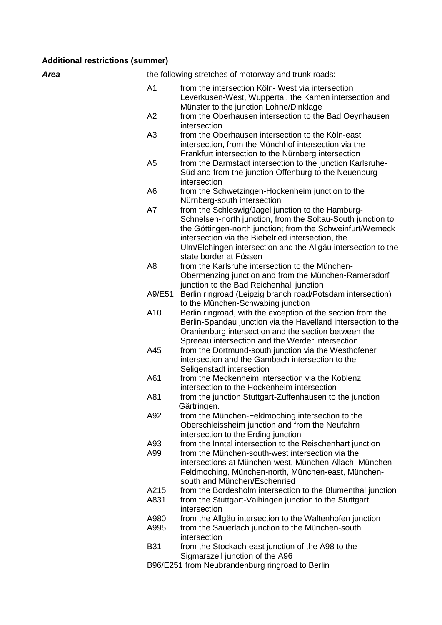### **Additional restrictions (summer)**

**Area** the following stretches of motorway and trunk roads:

- A1 from the intersection Köln- West via intersection Leverkusen-West, Wuppertal, the Kamen intersection and Münster to the junction Lohne/Dinklage
- A2 from the Oberhausen intersection to the Bad Oeynhausen intersection
- A3 from the Oberhausen intersection to the Köln-east intersection, from the Mönchhof intersection via the Frankfurt intersection to the Nürnberg intersection
- A5 from the Darmstadt intersection to the junction Karlsruhe-Süd and from the junction Offenburg to the Neuenburg intersection
- A6 from the Schwetzingen-Hockenheim junction to the Nürnberg-south intersection
- A7 from the Schleswig/Jagel junction to the Hamburg-Schnelsen-north junction, from the Soltau-South junction to the Göttingen-north junction; from the Schweinfurt/Werneck intersection via the Biebelried intersection, the Ulm/Elchingen intersection and the Allgäu intersection to the state border at Füssen
- A8 from the Karlsruhe intersection to the München-Obermenzing junction and from the München-Ramersdorf junction to the Bad Reichenhall junction
- A9/E51 Berlin ringroad (Leipzig branch road/Potsdam intersection) to the München-Schwabing junction
- A10 Berlin ringroad, with the exception of the section from the Berlin-Spandau junction via the Havelland intersection to the Oranienburg intersection and the section between the Spreeau intersection and the Werder intersection
- A45 from the Dortmund-south junction via the Westhofener intersection and the Gambach intersection to the Seligenstadt intersection
- A61 from the Meckenheim intersection via the Koblenz intersection to the Hockenheim intersection
- A81 from the junction Stuttgart-Zuffenhausen to the junction Gärtringen.
- A92 from the München-Feldmoching intersection to the Oberschleissheim junction and from the Neufahrn intersection to the Erding junction
- A93 from the Inntal intersection to the Reischenhart junction
- A99 from the München-south-west intersection via the intersections at München-west, München-Allach, München
	- Feldmoching, München-north, München-east, Münchensouth and München/Eschenried
- A215 from the Bordesholm intersection to the Blumenthal junction<br>A831 from the Stuttgart-Vaihingen junction to the Stuttgart
- from the Stuttgart-Vaihingen junction to the Stuttgart intersection
- A980 from the Allgäu intersection to the Waltenhofen iunction
- A995 from the Sauerlach junction to the München-south intersection
- B31 from the Stockach-east junction of the A98 to the Sigmarszell junction of the A96
- B96/E251 from Neubrandenburg ringroad to Berlin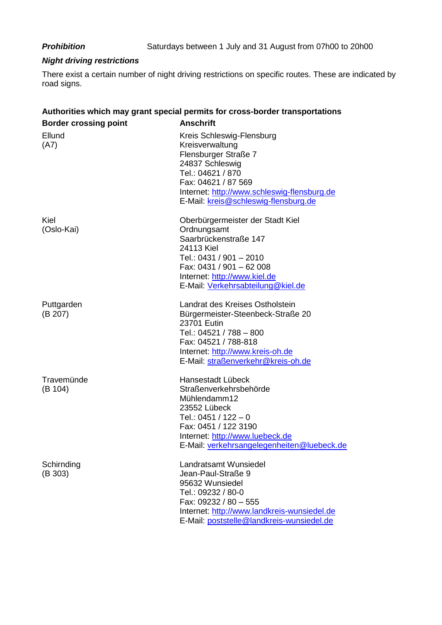## *Night driving restrictions*

There exist a certain number of night driving restrictions on specific routes. These are indicated by road signs.

# **Authorities which may grant special permits for cross-border transportations**

| <b>Border crossing point</b> | <b>Anschrift</b>                                                                                                                                                                                                           |
|------------------------------|----------------------------------------------------------------------------------------------------------------------------------------------------------------------------------------------------------------------------|
| Ellund<br>(A7)               | Kreis Schleswig-Flensburg<br>Kreisverwaltung<br>Flensburger Straße 7<br>24837 Schleswig<br>Tel.: 04621 / 870<br>Fax: 04621 / 87 569<br>Internet: http://www.schleswig-flensburg.de<br>E-Mail: kreis@schleswig-flensburg.de |
| Kiel<br>(Oslo-Kai)           | Oberbürgermeister der Stadt Kiel<br>Ordnungsamt<br>Saarbrückenstraße 147<br>24113 Kiel<br>Tel.: 0431 / 901 - 2010<br>Fax: 0431 / 901 - 62 008<br>Internet: http://www.kiel.de<br>E-Mail: Verkehrsabteilung@kiel.de         |
| Puttgarden<br>(B 207)        | Landrat des Kreises Ostholstein<br>Bürgermeister-Steenbeck-Straße 20<br>23701 Eutin<br>Tel.: 04521 / 788 - 800<br>Fax: 04521 / 788-818<br>Internet: http://www.kreis-oh.de<br>E-Mail: straßenverkehr@kreis-oh.de           |
| Travemünde<br>(B 104)        | Hansestadt Lübeck<br>Straßenverkehrsbehörde<br>Mühlendamm12<br>23552 Lübeck<br>Tel.: 0451 / 122 - 0<br>Fax: 0451 / 122 3190<br>Internet: http://www.luebeck.de<br>E-Mail: verkehrsangelegenheiten@luebeck.de               |
| Schirnding<br>(B 303)        | Landratsamt Wunsiedel<br>Jean-Paul-Straße 9<br>95632 Wunsiedel<br>Tel.: 09232 / 80-0<br>Fax: 09232 / 80 - 555<br>Internet: http://www.landkreis-wunsiedel.de<br>E-Mail: poststelle@landkreis-wunsiedel.de                  |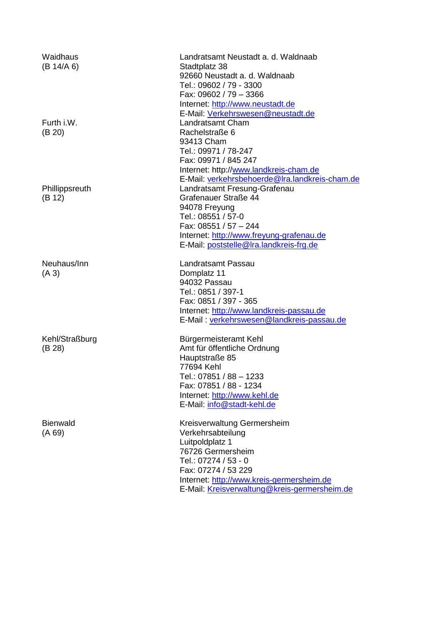Waidhaus (B 14/A 6) Furth i.W. (B 20) **Phillippsreuth** (B 12) Neuhaus/Inn (A 3) Kehl/Straßburg (B 28) **Bienwald** (A 69)

Landratsamt Neustadt a. d. Waldnaab Stadtplatz 38 92660 Neustadt a. d. Waldnaab Tel.: 09602 / 79 - 3300 Fax: 09602 / 79 – 3366 Internet: [http://www.neustadt.de](http://www.neustadt.de/) E-Mail: [Verkehrswesen@neustadt.de](mailto:Verkehrswesen@neustadt.de) Landratsamt Cham Rachelstraße 6 93413 Cham Tel.: 09971 / 78-247 Fax: 09971 / 845 247 Internet: http:/[/www.landkreis-cham.de](http://www.landkreis-cham.de/) E-Mail: [verkehrsbehoerde@lra.landkreis-cham.de](mailto:verkehrsbehoerde@lra.landkreis-cham.de) Landratsamt Fresung-Grafenau Grafenauer Straße 44 94078 Freyung Tel.: 08551 / 57-0 Fax: 08551 / 57 – 244 Internet: [http://www.freyung-grafenau.de](http://www.freyung-grafenau.de/) E-Mail: [poststelle@lra.landkreis-frg.de](mailto:poststelle@lra.landkreis-frg.de)

Landratsamt Passau Domplatz 11 94032 Passau Tel.: 0851 / 397-1 Fax: 0851 / 397 - 365 Internet: [http://www.landkreis-passau.de](http://www.landkreis-passau.de/) E-Mail : [verkehrswesen@landkreis-passau.de](mailto:verkehrswesen@landkreis-passau.de)

Bürgermeisteramt Kehl Amt für öffentliche Ordnung Hauptstraße 85 77694 Kehl Tel.: 07851 / 88 – 1233 Fax: 07851 / 88 - 1234 Internet: [http://www.kehl.de](http://www.kehl.de/) E-Mail: [info@stadt-kehl.de](mailto:info@stadt-kehl.de)

Kreisverwaltung Germersheim Verkehrsabteilung Luitpoldplatz 1 76726 Germersheim  $Tel: 07274 / 53 - 0$ Fax: 07274 / 53 229 Internet: [http://www.kreis-germersheim.de](http://www.kreis-germersheim.de/) E-Mail: [Kreisverwaltung@kreis-germersheim.de](mailto:Kreisverwaltung@kreis-germersheim.de)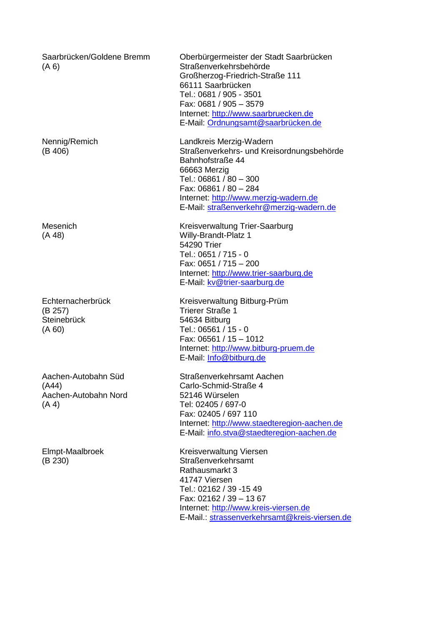Saarbrücken/Goldene Bremm Oberbürgermeister der Stadt Saarbrücken Straßenverkehrsbehörde Großherzog-Friedrich-Straße 111 66111 Saarbrücken Tel.: 0681 / 905 - 3501 Fax: 0681 / 905 – 3579 Internet: [http://www.saarbruecken.de](http://www.saarbruecken.de/) E-Mail: [Ordnungsamt@saarbrücken.de](mailto:Ordnungsamt@saarbrücken.de) Nennig/Remich Landkreis Merzig-Wadern Straßenverkehrs- und Kreisordnungsbehörde Bahnhofstraße 44 66663 Merzig Tel.: 06861 / 80 – 300 Fax: 06861 / 80 – 284 Internet: [http://www.merzig-wadern.de](http://www.merzig-wadern.de/) E-Mail: [straßenverkehr@merzig-wadern.de](mailto:straßenverkehr@merzig-wadern.de) Mesenich Kreisverwaltung Trier-Saarburg Willy-Brandt-Platz 1 54290 Trier Tel.: 0651 / 715 - 0 Fax: 0651 / 715 – 200 Internet: [http://www.trier-saarburg.de](http://www.trier-saarburg.de/) E-Mail: [kv@trier-saarburg.de](mailto:kv@trier-saarburg.de) **Echternacherbrück Steinebrück** Kreisverwaltung Bitburg-Prüm Trierer Straße 1 54634 Bitburg Tel.: 06561 / 15 - 0 Fax: 06561 / 15 – 1012 Internet: [http://www.bitburg-pruem.de](http://www.bitburg-pruem.de/) E-Mail: [Info@bitburg.de](mailto:Info@bitburg.de) Aachen-Autobahn Süd Aachen-Autobahn Nord Straßenverkehrsamt Aachen Carlo-Schmid-Straße 4 52146 Würselen Tel: 02405 / 697-0 Fax: 02405 / 697 110 Internet: [http://www.staedteregion-aachen.de](http://www.staedteregion-aachen.de/) E-Mail: [info.stva@staedteregion-aachen.de](mailto:info.stva@staedteregion-aachen.de) Elmpt-Maalbroek Kreisverwaltung Viersen Straßenverkehrsamt Rathausmarkt 3 41747 Viersen Tel.: 02162 / 39 -15 49 Fax: 02162 / 39 – 13 67 Internet: [http://www.kreis-viersen.de](http://www.kreis-viersen.de/) E-Mail.: [strassenverkehrsamt@kreis-viersen.de](mailto:strassenverkehrsamt@kreis-viersen.de)

(A 6)

(B 406)

(A 48)

(B 257)

(A 60)

(A44)

(A 4)

(B 230)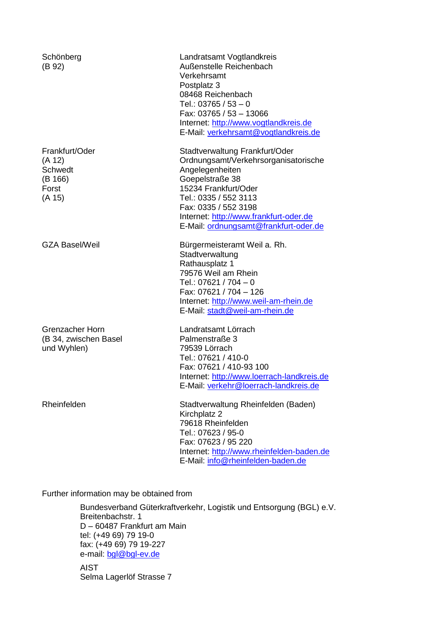| Schönberg<br>(B 92)                                                      | Landratsamt Vogtlandkreis<br>Außenstelle Reichenbach<br>Verkehrsamt<br>Postplatz 3<br>08468 Reichenbach<br>Tel.: 03765 / 53 - 0<br>Fax: 03765 / 53 - 13066<br>Internet: http://www.vogtlandkreis.de<br>E-Mail: verkehrsamt@vogtlandkreis.de                              |
|--------------------------------------------------------------------------|--------------------------------------------------------------------------------------------------------------------------------------------------------------------------------------------------------------------------------------------------------------------------|
| Frankfurt/Oder<br>(A 12)<br><b>Schwedt</b><br>(B 166)<br>Forst<br>(A 15) | Stadtverwaltung Frankfurt/Oder<br>Ordnungsamt/Verkehrsorganisatorische<br>Angelegenheiten<br>Goepelstraße 38<br>15234 Frankfurt/Oder<br>Tel.: 0335 / 552 3113<br>Fax: 0335 / 552 3198<br>Internet: http://www.frankfurt-oder.de<br>E-Mail: ordnungsamt@frankfurt-oder.de |
| <b>GZA Basel/Weil</b>                                                    | Bürgermeisteramt Weil a. Rh.<br>Stadtverwaltung<br>Rathausplatz 1<br>79576 Weil am Rhein<br>Tel.: 07621 / 704 - 0<br>Fax: 07621 / 704 - 126<br>Internet: http://www.weil-am-rhein.de<br>E-Mail: stadt@weil-am-rhein.de                                                   |
| <b>Grenzacher Horn</b><br>(B 34, zwischen Basel<br>und Wyhlen)           | Landratsamt Lörrach<br>Palmenstraße 3<br>79539 Lörrach<br>Tel.: 07621 / 410-0<br>Fax: 07621 / 410-93 100<br>Internet: http://www.loerrach-landkreis.de<br>E-Mail: verkehr@loerrach-landkreis.de                                                                          |
| Rheinfelden                                                              | Stadtverwaltung Rheinfelden (Baden)<br>Kirchplatz 2<br>79618 Rheinfelden<br>Tel.: 07623 / 95-0<br>Fax: 07623 / 95 220<br>Internet: http://www.rheinfelden-baden.de<br>E-Mail: info@rheinfelden-baden.de                                                                  |

Further information may be obtained from

Bundesverband Güterkraftverkehr, Logistik und Entsorgung (BGL) e.V. Breitenbachstr. 1 D – 60487 Frankfurt am Main tel: (+49 69) 79 19-0 fax: (+49 69) 79 19-227 e-mail: [bgl@bgl-ev.de](mailto:bgl@bgl-ev.de) AIST Selma Lagerlöf Strasse 7